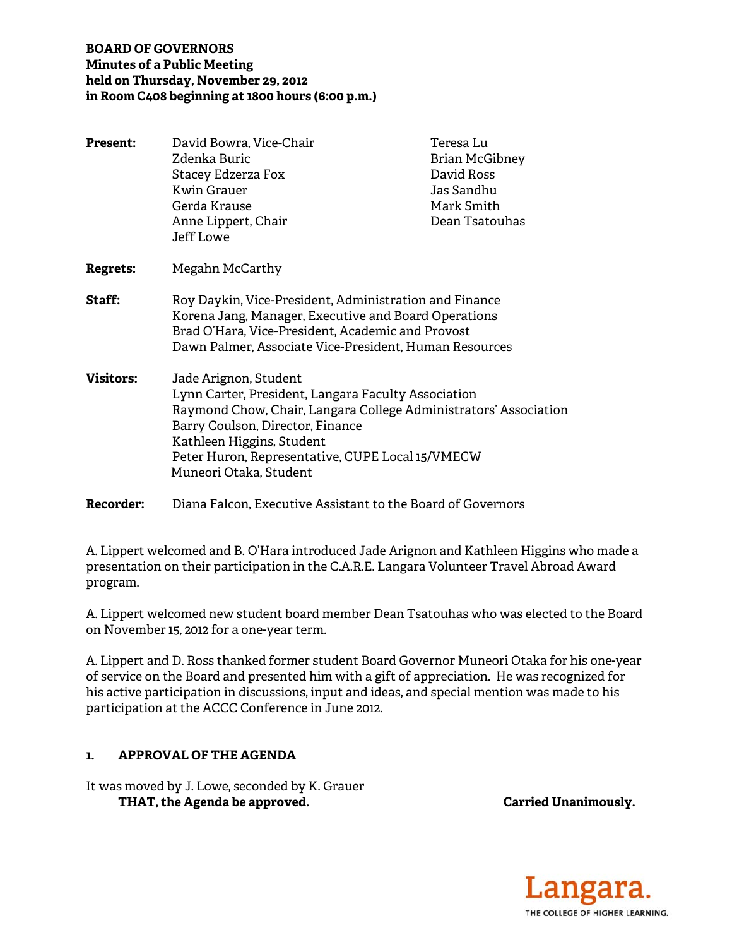## **BOARD OF GOVERNORS Minutes of a Public Meeting held on Thursday, November 29, 2012 in Room C408 beginning at 1800 hours (6:00 p.m.)**

| Present:         | David Bowra, Vice-Chair<br>Zdenka Buric<br>Stacey Edzerza Fox<br>Kwin Grauer<br>Gerda Krause                                                                                                                                                                                                    | Teresa Lu<br><b>Brian McGibney</b><br>David Ross<br>Jas Sandhu<br>Mark Smith |
|------------------|-------------------------------------------------------------------------------------------------------------------------------------------------------------------------------------------------------------------------------------------------------------------------------------------------|------------------------------------------------------------------------------|
|                  | Anne Lippert, Chair<br>Jeff Lowe                                                                                                                                                                                                                                                                | Dean Tsatouhas                                                               |
| <b>Regrets:</b>  | Megahn McCarthy                                                                                                                                                                                                                                                                                 |                                                                              |
| <b>Staff:</b>    | Roy Daykin, Vice-President, Administration and Finance<br>Korena Jang, Manager, Executive and Board Operations<br>Brad O'Hara, Vice-President, Academic and Provost<br>Dawn Palmer, Associate Vice-President, Human Resources                                                                   |                                                                              |
| <b>Visitors:</b> | Jade Arignon, Student<br>Lynn Carter, President, Langara Faculty Association<br>Raymond Chow, Chair, Langara College Administrators' Association<br>Barry Coulson, Director, Finance<br>Kathleen Higgins, Student<br>Peter Huron, Representative, CUPE Local 15/VMECW<br>Muneori Otaka, Student |                                                                              |

**Recorder:** Diana Falcon, Executive Assistant to the Board of Governors

A. Lippert welcomed and B. O'Hara introduced Jade Arignon and Kathleen Higgins who made a presentation on their participation in the C.A.R.E. Langara Volunteer Travel Abroad Award program.

A. Lippert welcomed new student board member Dean Tsatouhas who was elected to the Board on November 15, 2012 for a one-year term.

A. Lippert and D. Ross thanked former student Board Governor Muneori Otaka for his one-year of service on the Board and presented him with a gift of appreciation. He was recognized for his active participation in discussions, input and ideas, and special mention was made to his participation at the ACCC Conference in June 2012.

# **1. APPROVAL OF THE AGENDA**

It was moved by J. Lowe, seconded by K. Grauer THAT, the Agenda be approved. **Carried Unanimously.** Carried Unanimously.

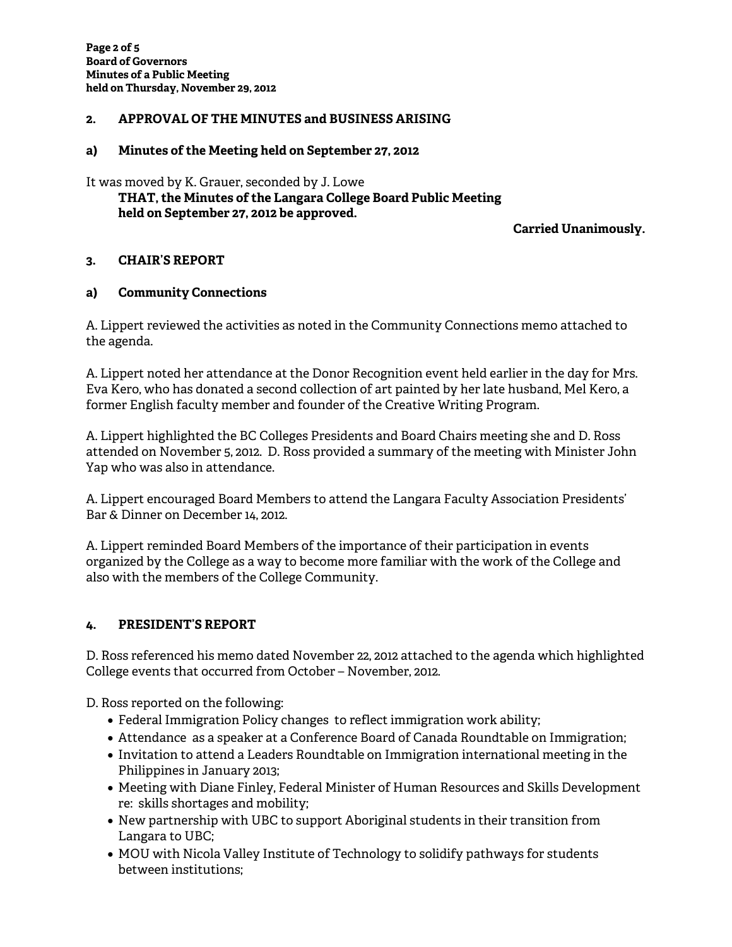### **2. APPROVAL OF THE MINUTES and BUSINESS ARISING**

### **a) Minutes of the Meeting held on September 27, 2012**

It was moved by K. Grauer, seconded by J. Lowe  **THAT, the Minutes of the Langara College Board Public Meeting held on September 27, 2012 be approved.** 

**Carried Unanimously.** 

### **3. CHAIR'S REPORT**

## **a) Community Connections**

A. Lippert reviewed the activities as noted in the Community Connections memo attached to the agenda.

A. Lippert noted her attendance at the Donor Recognition event held earlier in the day for Mrs. Eva Kero, who has donated a second collection of art painted by her late husband, Mel Kero, a former English faculty member and founder of the Creative Writing Program.

A. Lippert highlighted the BC Colleges Presidents and Board Chairs meeting she and D. Ross attended on November 5, 2012. D. Ross provided a summary of the meeting with Minister John Yap who was also in attendance.

A. Lippert encouraged Board Members to attend the Langara Faculty Association Presidents' Bar & Dinner on December 14, 2012.

A. Lippert reminded Board Members of the importance of their participation in events organized by the College as a way to become more familiar with the work of the College and also with the members of the College Community.

### **4. PRESIDENT'S REPORT**

D. Ross referenced his memo dated November 22, 2012 attached to the agenda which highlighted College events that occurred from October – November, 2012.

D. Ross reported on the following:

- Federal Immigration Policy changes to reflect immigration work ability;
- Attendance as a speaker at a Conference Board of Canada Roundtable on Immigration;
- Invitation to attend a Leaders Roundtable on Immigration international meeting in the Philippines in January 2013;
- Meeting with Diane Finley, Federal Minister of Human Resources and Skills Development re: skills shortages and mobility;
- New partnership with UBC to support Aboriginal students in their transition from Langara to UBC;
- MOU with Nicola Valley Institute of Technology to solidify pathways for students between institutions;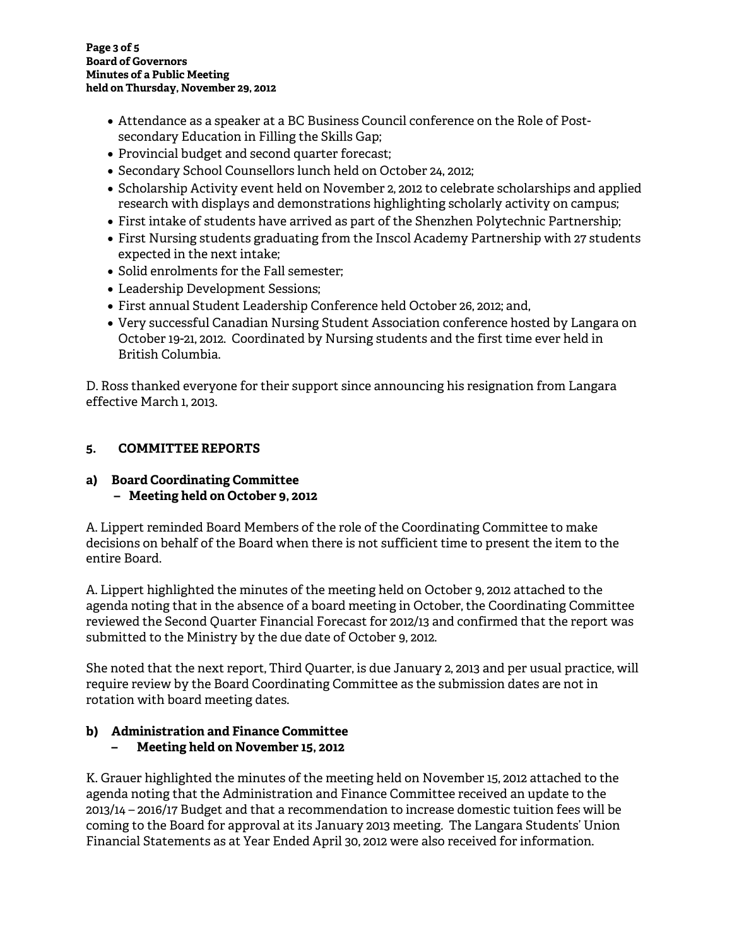- Attendance as a speaker at a BC Business Council conference on the Role of Postsecondary Education in Filling the Skills Gap;
- Provincial budget and second quarter forecast;
- Secondary School Counsellors lunch held on October 24, 2012;
- Scholarship Activity event held on November 2, 2012 to celebrate scholarships and applied research with displays and demonstrations highlighting scholarly activity on campus;
- First intake of students have arrived as part of the Shenzhen Polytechnic Partnership;
- First Nursing students graduating from the Inscol Academy Partnership with 27 students expected in the next intake;
- Solid enrolments for the Fall semester;
- Leadership Development Sessions;
- First annual Student Leadership Conference held October 26, 2012; and,
- Very successful Canadian Nursing Student Association conference hosted by Langara on October 19-21, 2012. Coordinated by Nursing students and the first time ever held in British Columbia.

D. Ross thanked everyone for their support since announcing his resignation from Langara effective March 1, 2013.

# **5. COMMITTEE REPORTS**

# **a) Board Coordinating Committee – Meeting held on October 9, 2012**

A. Lippert reminded Board Members of the role of the Coordinating Committee to make decisions on behalf of the Board when there is not sufficient time to present the item to the entire Board.

A. Lippert highlighted the minutes of the meeting held on October 9, 2012 attached to the agenda noting that in the absence of a board meeting in October, the Coordinating Committee reviewed the Second Quarter Financial Forecast for 2012/13 and confirmed that the report was submitted to the Ministry by the due date of October 9, 2012.

She noted that the next report, Third Quarter, is due January 2, 2013 and per usual practice, will require review by the Board Coordinating Committee as the submission dates are not in rotation with board meeting dates.

### **b) Administration and Finance Committee – Meeting held on November 15, 2012**

K. Grauer highlighted the minutes of the meeting held on November 15, 2012 attached to the agenda noting that the Administration and Finance Committee received an update to the 2013/14 – 2016/17 Budget and that a recommendation to increase domestic tuition fees will be coming to the Board for approval at its January 2013 meeting. The Langara Students' Union Financial Statements as at Year Ended April 30, 2012 were also received for information.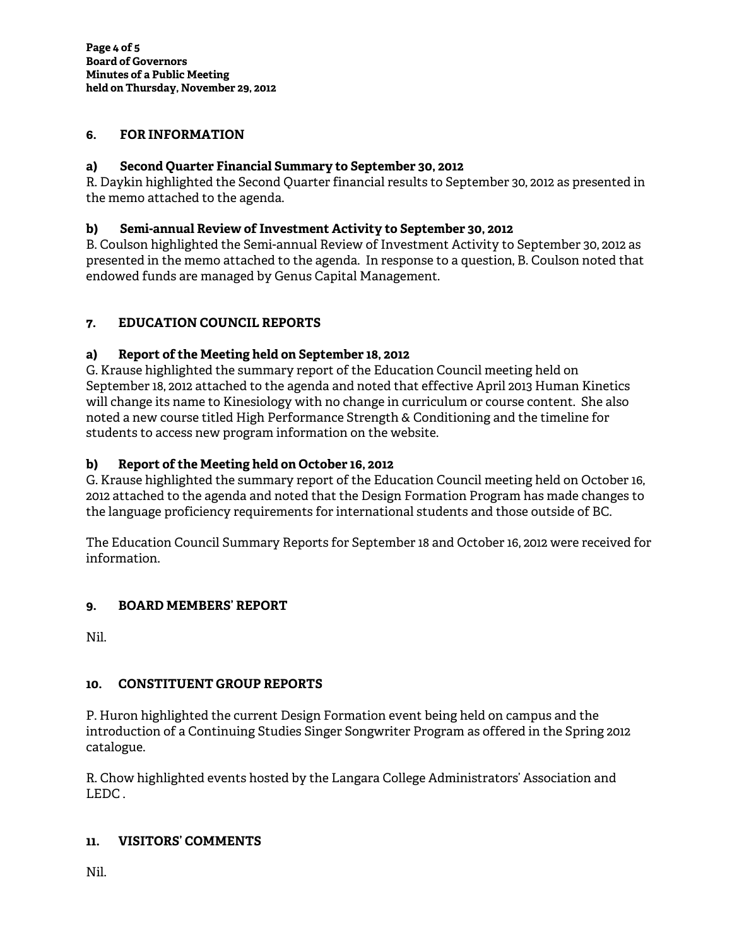## **6. FOR INFORMATION**

## **a) Second Quarter Financial Summary to September 30, 2012**

R. Daykin highlighted the Second Quarter financial results to September 30, 2012 as presented in the memo attached to the agenda.

### **b) Semi-annual Review of Investment Activity to September 30, 2012**

B. Coulson highlighted the Semi-annual Review of Investment Activity to September 30, 2012 as presented in the memo attached to the agenda. In response to a question, B. Coulson noted that endowed funds are managed by Genus Capital Management.

# **7. EDUCATION COUNCIL REPORTS**

## **a) Report of the Meeting held on September 18, 2012**

G. Krause highlighted the summary report of the Education Council meeting held on September 18, 2012 attached to the agenda and noted that effective April 2013 Human Kinetics will change its name to Kinesiology with no change in curriculum or course content. She also noted a new course titled High Performance Strength & Conditioning and the timeline for students to access new program information on the website.

### **b) Report of the Meeting held on October 16, 2012**

G. Krause highlighted the summary report of the Education Council meeting held on October 16, 2012 attached to the agenda and noted that the Design Formation Program has made changes to the language proficiency requirements for international students and those outside of BC.

The Education Council Summary Reports for September 18 and October 16, 2012 were received for information.

# **9. BOARD MEMBERS' REPORT**

Nil.

# **10. CONSTITUENT GROUP REPORTS**

P. Huron highlighted the current Design Formation event being held on campus and the introduction of a Continuing Studies Singer Songwriter Program as offered in the Spring 2012 catalogue.

R. Chow highlighted events hosted by the Langara College Administrators' Association and LEDC .

### **11. VISITORS' COMMENTS**

Nil.